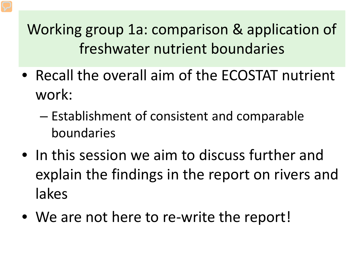- Recall the overall aim of the ECOSTAT nutrient work:
	- Establishment of consistent and comparable boundaries
- In this session we aim to discuss further and explain the findings in the report on rivers and lakes
- We are not here to re-write the report!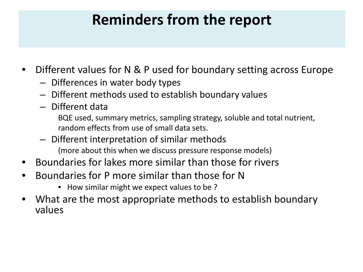## **Reminders from the report**

- Different values for N & P used for boundary setting across Europe
	- Differences in water body types
	- Different methods used to establish boundary values
	- Different data

BQE used, summary metrics, sampling strategy, soluble and total nutrient, random effects from use of small data sets.

- Different interpretation of similar methods (more about this when we discuss pressure response models)
- Boundaries for lakes more similar than those for rivers
- Boundaries for P more similar than those for N
	- How similar might we expect values to be ?
- What are the most appropriate methods to establish boundary values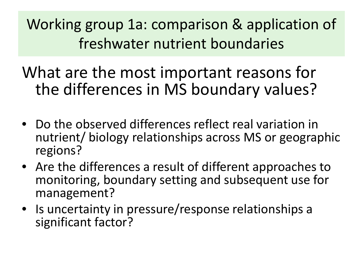What are the most important reasons for the differences in MS boundary values?

- Do the observed differences reflect real variation in nutrient/ biology relationships across MS or geographic regions?
- Are the differences a result of different approaches to monitoring, boundary setting and subsequent use for management?
- Is uncertainty in pressure/response relationships a significant factor?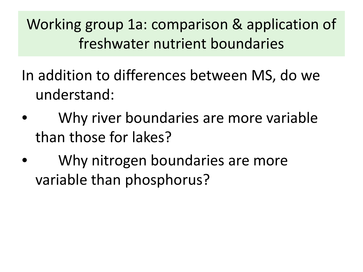In addition to differences between MS, do we understand:

- Why river boundaries are more variable than those for lakes?
- Why nitrogen boundaries are more variable than phosphorus?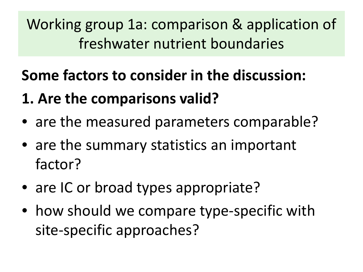# **Some factors to consider in the discussion:**

# **1. Are the comparisons valid?**

- are the measured parameters comparable?
- are the summary statistics an important factor?
- are IC or broad types appropriate?
- how should we compare type-specific with site-specific approaches?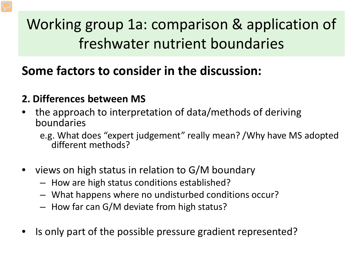### **Some factors to consider in the discussion:**

#### **2. Differences between MS**

• the approach to interpretation of data/methods of deriving boundaries

e.g. What does "expert judgement" really mean? /Why have MS adopted different methods?

- views on high status in relation to G/M boundary
	- How are high status conditions established?
	- What happens where no undisturbed conditions occur?
	- How far can G/M deviate from high status?
- Is only part of the possible pressure gradient represented?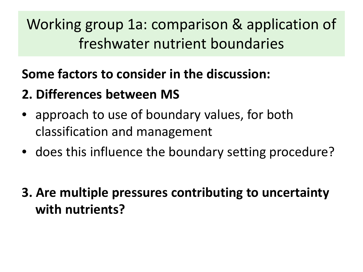### **Some factors to consider in the discussion:**

### **2. Differences between MS**

- approach to use of boundary values, for both classification and management
- does this influence the boundary setting procedure?
- **3. Are multiple pressures contributing to uncertainty with nutrients?**